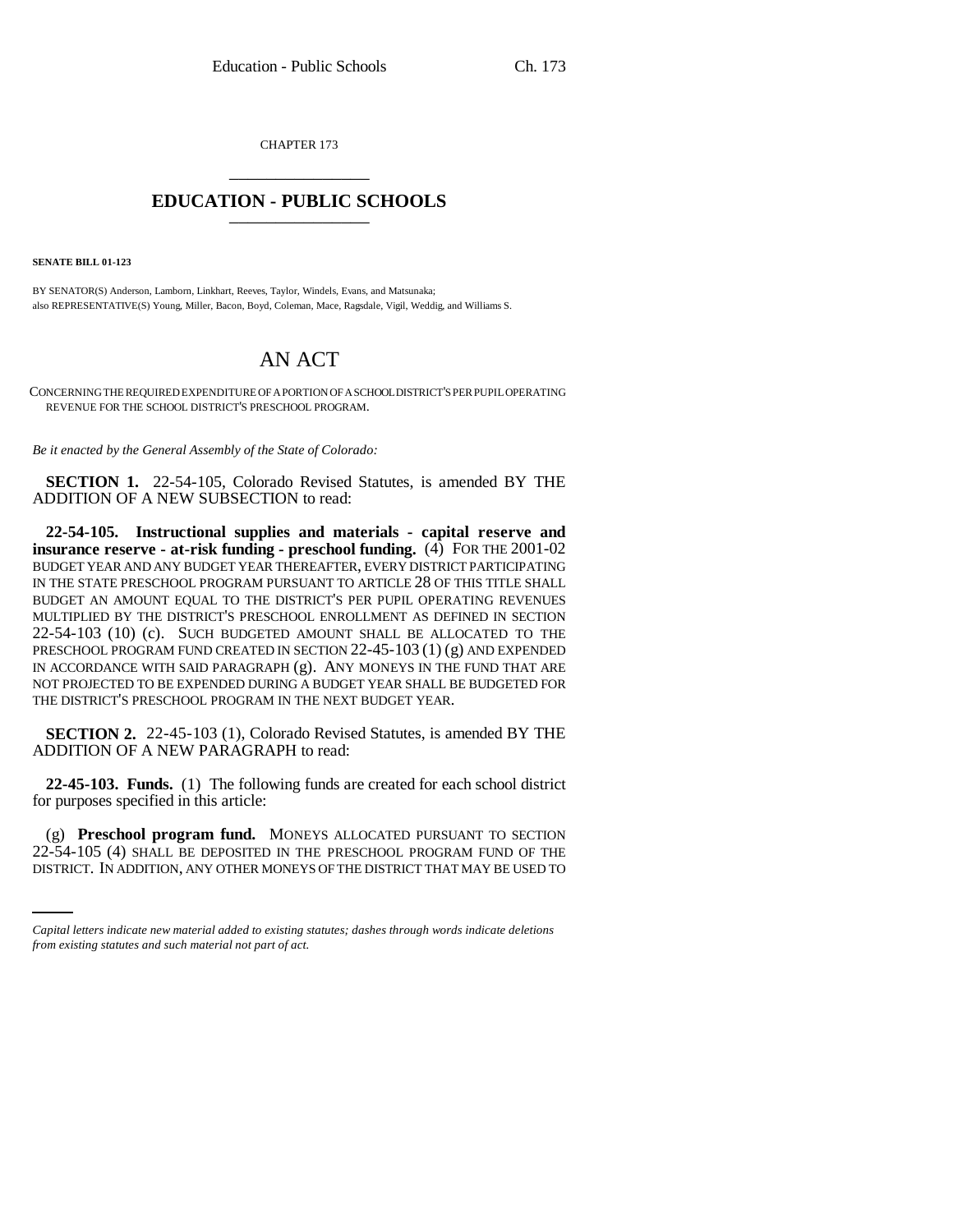CHAPTER 173 \_\_\_\_\_\_\_\_\_\_\_\_\_\_\_

## **EDUCATION - PUBLIC SCHOOLS** \_\_\_\_\_\_\_\_\_\_\_\_\_\_\_

**SENATE BILL 01-123**

BY SENATOR(S) Anderson, Lamborn, Linkhart, Reeves, Taylor, Windels, Evans, and Matsunaka; also REPRESENTATIVE(S) Young, Miller, Bacon, Boyd, Coleman, Mace, Ragsdale, Vigil, Weddig, and Williams S.

## AN ACT

CONCERNING THE REQUIRED EXPENDITURE OF A PORTION OF A SCHOOL DISTRICT'S PER PUPIL OPERATING REVENUE FOR THE SCHOOL DISTRICT'S PRESCHOOL PROGRAM.

*Be it enacted by the General Assembly of the State of Colorado:*

**SECTION 1.** 22-54-105, Colorado Revised Statutes, is amended BY THE ADDITION OF A NEW SUBSECTION to read:

**22-54-105. Instructional supplies and materials - capital reserve and insurance reserve - at-risk funding - preschool funding.** (4) FOR THE 2001-02 BUDGET YEAR AND ANY BUDGET YEAR THEREAFTER, EVERY DISTRICT PARTICIPATING IN THE STATE PRESCHOOL PROGRAM PURSUANT TO ARTICLE 28 OF THIS TITLE SHALL BUDGET AN AMOUNT EQUAL TO THE DISTRICT'S PER PUPIL OPERATING REVENUES MULTIPLIED BY THE DISTRICT'S PRESCHOOL ENROLLMENT AS DEFINED IN SECTION 22-54-103 (10) (c). SUCH BUDGETED AMOUNT SHALL BE ALLOCATED TO THE PRESCHOOL PROGRAM FUND CREATED IN SECTION 22-45-103 (1) (g) AND EXPENDED IN ACCORDANCE WITH SAID PARAGRAPH (g). ANY MONEYS IN THE FUND THAT ARE NOT PROJECTED TO BE EXPENDED DURING A BUDGET YEAR SHALL BE BUDGETED FOR THE DISTRICT'S PRESCHOOL PROGRAM IN THE NEXT BUDGET YEAR.

**SECTION 2.** 22-45-103 (1), Colorado Revised Statutes, is amended BY THE ADDITION OF A NEW PARAGRAPH to read:

**22-45-103. Funds.** (1) The following funds are created for each school district for purposes specified in this article:

(g) **Preschool program fund.** MONEYS ALLOCATED PURSUANT TO SECTION 22-54-105 (4) SHALL BE DEPOSITED IN THE PRESCHOOL PROGRAM FUND OF THE DISTRICT. IN ADDITION, ANY OTHER MONEYS OF THE DISTRICT THAT MAY BE USED TO

*Capital letters indicate new material added to existing statutes; dashes through words indicate deletions from existing statutes and such material not part of act.*